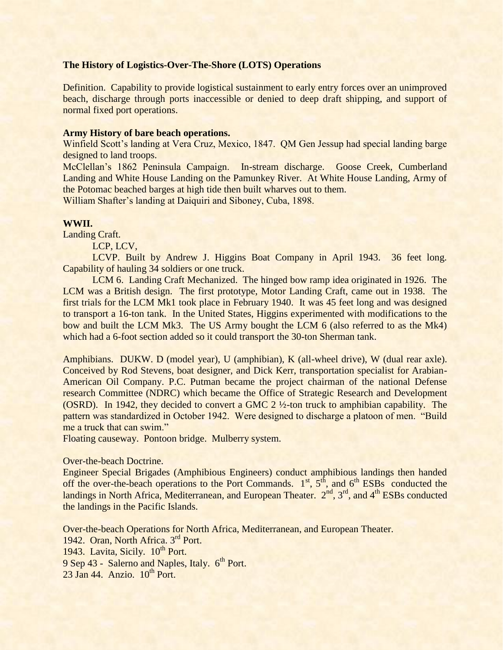# **The History of Logistics-Over-The-Shore (LOTS) Operations**

Definition. Capability to provide logistical sustainment to early entry forces over an unimproved beach, discharge through ports inaccessible or denied to deep draft shipping, and support of normal fixed port operations.

## **Army History of bare beach operations.**

Winfield Scott's landing at Vera Cruz, Mexico, 1847. QM Gen Jessup had special landing barge designed to land troops.

McClellan's 1862 Peninsula Campaign. In-stream discharge. Goose Creek, Cumberland Landing and White House Landing on the Pamunkey River. At White House Landing, Army of the Potomac beached barges at high tide then built wharves out to them.

William Shafter's landing at Daiquiri and Siboney, Cuba, 1898.

#### **WWII.**

Landing Craft.

LCP, LCV,

LCVP. Built by Andrew J. Higgins Boat Company in April 1943. 36 feet long. Capability of hauling 34 soldiers or one truck.

LCM 6. Landing Craft Mechanized. The hinged bow ramp idea originated in 1926. The LCM was a British design. The first prototype, Motor Landing Craft, came out in 1938. The first trials for the LCM Mk1 took place in February 1940. It was 45 feet long and was designed to transport a 16-ton tank. In the United States, Higgins experimented with modifications to the bow and built the LCM Mk3. The US Army bought the LCM 6 (also referred to as the Mk4) which had a 6-foot section added so it could transport the 30-ton Sherman tank.

Amphibians. DUKW. D (model year), U (amphibian), K (all-wheel drive), W (dual rear axle). Conceived by Rod Stevens, boat designer, and Dick Kerr, transportation specialist for Arabian-American Oil Company. P.C. Putman became the project chairman of the national Defense research Committee (NDRC) which became the Office of Strategic Research and Development (OSRD). In 1942, they decided to convert a GMC 2 ½-ton truck to amphibian capability. The pattern was standardized in October 1942. Were designed to discharge a platoon of men. "Build me a truck that can swim."

Floating causeway. Pontoon bridge. Mulberry system.

## Over-the-beach Doctrine.

Engineer Special Brigades (Amphibious Engineers) conduct amphibious landings then handed off the over-the-beach operations to the Port Commands.  $1<sup>st</sup>$ ,  $5<sup>th</sup>$ , and  $6<sup>th</sup>$  ESBs conducted the landings in North Africa, Mediterranean, and European Theater. 2<sup>nd</sup>, 3<sup>rd</sup>, and 4<sup>th</sup> ESBs conducted the landings in the Pacific Islands.

Over-the-beach Operations for North Africa, Mediterranean, and European Theater. 1942. Oran, North Africa. 3<sup>rd</sup> Port. 1943. Lavita, Sicily. 10<sup>th</sup> Port. 9 Sep 43 - Salerno and Naples, Italy. 6<sup>th</sup> Port.  $23$  Jan 44. Anzio.  $10^{th}$  Port.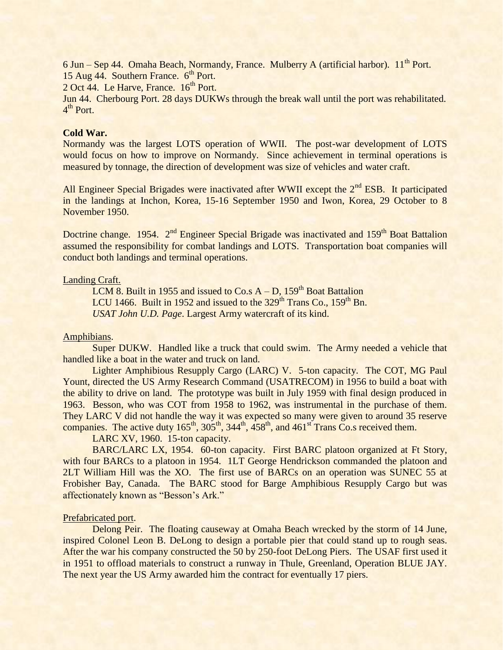6 Jun – Sep 44. Omaha Beach, Normandy, France. Mulberry A (artificial harbor). 11<sup>th</sup> Port. 15 Aug  $44.$  Southern France.  $6<sup>th</sup>$  Port.

2 Oct 44. Le Harve, France. 16<sup>th</sup> Port.

Jun 44. Cherbourg Port. 28 days DUKWs through the break wall until the port was rehabilitated. 4<sup>th</sup> Port.

# **Cold War.**

Normandy was the largest LOTS operation of WWII. The post-war development of LOTS would focus on how to improve on Normandy. Since achievement in terminal operations is measured by tonnage, the direction of development was size of vehicles and water craft.

All Engineer Special Brigades were inactivated after WWII except the 2<sup>nd</sup> ESB. It participated in the landings at Inchon, Korea, 15-16 September 1950 and Iwon, Korea, 29 October to 8 November 1950.

Doctrine change. 1954. 2<sup>nd</sup> Engineer Special Brigade was inactivated and 159<sup>th</sup> Boat Battalion assumed the responsibility for combat landings and LOTS. Transportation boat companies will conduct both landings and terminal operations.

# Landing Craft.

LCM 8. Built in 1955 and issued to  $Co.s A - D$ , 159<sup>th</sup> Boat Battalion LCU 1466. Built in 1952 and issued to the  $329<sup>th</sup>$  Trans Co.,  $159<sup>th</sup>$  Bn. *USAT John U.D. Page*. Largest Army watercraft of its kind.

### Amphibians.

Super DUKW. Handled like a truck that could swim. The Army needed a vehicle that handled like a boat in the water and truck on land.

Lighter Amphibious Resupply Cargo (LARC) V. 5-ton capacity. The COT, MG Paul Yount, directed the US Army Research Command (USATRECOM) in 1956 to build a boat with the ability to drive on land. The prototype was built in July 1959 with final design produced in 1963. Besson, who was COT from 1958 to 1962, was instrumental in the purchase of them. They LARC V did not handle the way it was expected so many were given to around 35 reserve companies. The active duty  $165<sup>th</sup>$ ,  $305<sup>th</sup>$ ,  $344<sup>th</sup>$ ,  $458<sup>th</sup>$ , and  $461<sup>st</sup>$  Trans Co.s received them.

LARC XV, 1960. 15-ton capacity.

BARC/LARC LX, 1954. 60-ton capacity. First BARC platoon organized at Ft Story, with four BARCs to a platoon in 1954. 1LT George Hendrickson commanded the platoon and 2LT William Hill was the XO. The first use of BARCs on an operation was SUNEC 55 at Frobisher Bay, Canada. The BARC stood for Barge Amphibious Resupply Cargo but was affectionately known as "Besson's Ark."

#### Prefabricated port.

Delong Peir. The floating causeway at Omaha Beach wrecked by the storm of 14 June, inspired Colonel Leon B. DeLong to design a portable pier that could stand up to rough seas. After the war his company constructed the 50 by 250-foot DeLong Piers. The USAF first used it in 1951 to offload materials to construct a runway in Thule, Greenland, Operation BLUE JAY. The next year the US Army awarded him the contract for eventually 17 piers.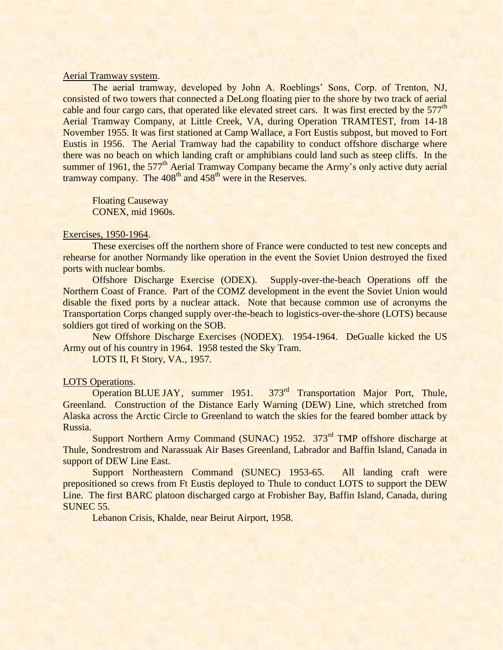## Aerial Tramway system.

The aerial tramway, developed by John A. Roeblings' Sons, Corp. of Trenton, NJ, consisted of two towers that connected a DeLong floating pier to the shore by two track of aerial cable and four cargo cars, that operated like elevated street cars. It was first erected by the 577<sup>th</sup> Aerial Tramway Company, at Little Creek, VA, during Operation TRAMTEST, from 14-18 November 1955. It was first stationed at Camp Wallace, a Fort Eustis subpost, but moved to Fort Eustis in 1956. The Aerial Tramway had the capability to conduct offshore discharge where there was no beach on which landing craft or amphibians could land such as steep cliffs. In the summer of 1961, the  $577<sup>th</sup>$  Aerial Tramway Company became the Army's only active duty aerial tramway company. The 408<sup>th</sup> and 458<sup>th</sup> were in the Reserves.

Floating Causeway CONEX, mid 1960s.

### Exercises, 1950-1964.

These exercises off the northern shore of France were conducted to test new concepts and rehearse for another Normandy like operation in the event the Soviet Union destroyed the fixed ports with nuclear bombs.

Offshore Discharge Exercise (ODEX). Supply-over-the-beach Operations off the Northern Coast of France. Part of the COMZ development in the event the Soviet Union would disable the fixed ports by a nuclear attack. Note that because common use of acronyms the Transportation Corps changed supply over-the-beach to logistics-over-the-shore (LOTS) because soldiers got tired of working on the SOB.

New Offshore Discharge Exercises (NODEX). 1954-1964. DeGualle kicked the US Army out of his country in 1964. 1958 tested the Sky Tram.

LOTS II, Ft Story, VA., 1957.

#### LOTS Operations.

Operation BLUE JAY, summer 1951. 373<sup>rd</sup> Transportation Major Port, Thule, Greenland. Construction of the Distance Early Warning (DEW) Line, which stretched from Alaska across the Arctic Circle to Greenland to watch the skies for the feared bomber attack by Russia.

Support Northern Army Command (SUNAC) 1952. 373<sup>rd</sup> TMP offshore discharge at Thule, Sondrestrom and Narassuak Air Bases Greenland, Labrador and Baffin Island, Canada in support of DEW Line East.

Support Northeastern Command (SUNEC) 1953-65. All landing craft were prepositioned so crews from Ft Eustis deployed to Thule to conduct LOTS to support the DEW Line. The first BARC platoon discharged cargo at Frobisher Bay, Baffin Island, Canada, during SUNEC 55.

Lebanon Crisis, Khalde, near Beirut Airport, 1958.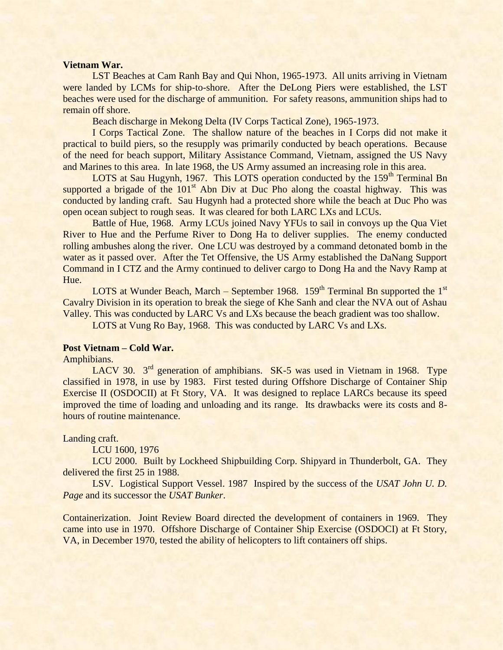#### **Vietnam War.**

LST Beaches at Cam Ranh Bay and Qui Nhon, 1965-1973. All units arriving in Vietnam were landed by LCMs for ship-to-shore. After the DeLong Piers were established, the LST beaches were used for the discharge of ammunition. For safety reasons, ammunition ships had to remain off shore.

Beach discharge in Mekong Delta (IV Corps Tactical Zone), 1965-1973.

I Corps Tactical Zone. The shallow nature of the beaches in I Corps did not make it practical to build piers, so the resupply was primarily conducted by beach operations. Because of the need for beach support, Military Assistance Command, Vietnam, assigned the US Navy and Marines to this area. In late 1968, the US Army assumed an increasing role in this area.

LOTS at Sau Hugynh, 1967. This LOTS operation conducted by the 159<sup>th</sup> Terminal Bn supported a brigade of the  $101<sup>st</sup>$  Abn Div at Duc Pho along the coastal highway. This was conducted by landing craft. Sau Hugynh had a protected shore while the beach at Duc Pho was open ocean subject to rough seas. It was cleared for both LARC LXs and LCUs.

Battle of Hue, 1968. Army LCUs joined Navy YFUs to sail in convoys up the Qua Viet River to Hue and the Perfume River to Dong Ha to deliver supplies. The enemy conducted rolling ambushes along the river. One LCU was destroyed by a command detonated bomb in the water as it passed over. After the Tet Offensive, the US Army established the DaNang Support Command in I CTZ and the Army continued to deliver cargo to Dong Ha and the Navy Ramp at Hue.

LOTS at Wunder Beach, March – September 1968.  $159<sup>th</sup>$  Terminal Bn supported the 1<sup>st</sup> Cavalry Division in its operation to break the siege of Khe Sanh and clear the NVA out of Ashau Valley. This was conducted by LARC Vs and LXs because the beach gradient was too shallow.

LOTS at Vung Ro Bay, 1968. This was conducted by LARC Vs and LXs.

## **Post Vietnam – Cold War.**

Amphibians.

LACV 30. 3<sup>rd</sup> generation of amphibians. SK-5 was used in Vietnam in 1968. Type classified in 1978, in use by 1983. First tested during Offshore Discharge of Container Ship Exercise II (OSDOCII) at Ft Story, VA. It was designed to replace LARCs because its speed improved the time of loading and unloading and its range. Its drawbacks were its costs and 8 hours of routine maintenance.

Landing craft.

LCU 1600, 1976

LCU 2000. Built by Lockheed Shipbuilding Corp. Shipyard in Thunderbolt, GA. They delivered the first 25 in 1988.

LSV. Logistical Support Vessel. 1987 Inspired by the success of the *USAT John U. D. Page* and its successor the *USAT Bunker*.

Containerization. Joint Review Board directed the development of containers in 1969. They came into use in 1970. Offshore Discharge of Container Ship Exercise (OSDOCI) at Ft Story, VA, in December 1970, tested the ability of helicopters to lift containers off ships.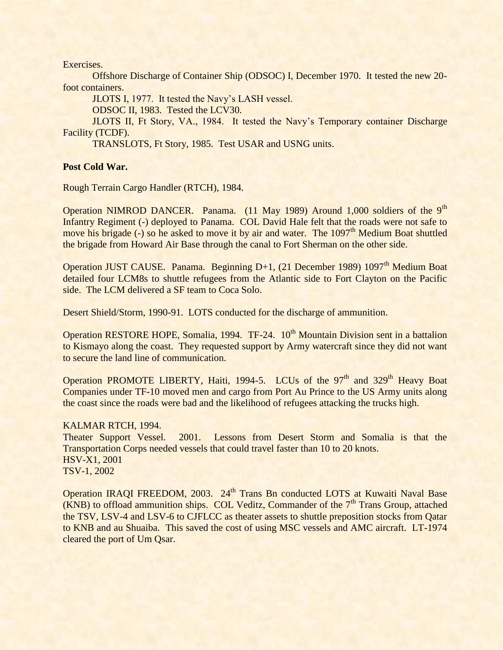Exercises.

Offshore Discharge of Container Ship (ODSOC) I, December 1970. It tested the new 20 foot containers.

JLOTS I, 1977. It tested the Navy's LASH vessel.

ODSOC II, 1983. Tested the LCV30.

JLOTS II, Ft Story, VA., 1984. It tested the Navy's Temporary container Discharge Facility (TCDF).

TRANSLOTS, Ft Story, 1985. Test USAR and USNG units.

# **Post Cold War.**

Rough Terrain Cargo Handler (RTCH), 1984.

Operation NIMROD DANCER. Panama. (11 May 1989) Around 1,000 soldiers of the 9<sup>th</sup> Infantry Regiment (-) deployed to Panama. COL David Hale felt that the roads were not safe to move his brigade (-) so he asked to move it by air and water. The  $1097<sup>th</sup>$  Medium Boat shuttled the brigade from Howard Air Base through the canal to Fort Sherman on the other side.

Operation JUST CAUSE. Panama. Beginning D+1, (21 December 1989) 1097<sup>th</sup> Medium Boat detailed four LCM8s to shuttle refugees from the Atlantic side to Fort Clayton on the Pacific side. The LCM delivered a SF team to Coca Solo.

Desert Shield/Storm, 1990-91. LOTS conducted for the discharge of ammunition.

Operation RESTORE HOPE, Somalia, 1994. TF-24. 10<sup>th</sup> Mountain Division sent in a battalion to Kismayo along the coast. They requested support by Army watercraft since they did not want to secure the land line of communication.

Operation PROMOTE LIBERTY, Haiti, 1994-5. LCUs of the  $97<sup>th</sup>$  and 329<sup>th</sup> Heavy Boat Companies under TF-10 moved men and cargo from Port Au Prince to the US Army units along the coast since the roads were bad and the likelihood of refugees attacking the trucks high.

# KALMAR RTCH, 1994.

Theater Support Vessel. 2001. Lessons from Desert Storm and Somalia is that the Transportation Corps needed vessels that could travel faster than 10 to 20 knots. HSV-X1, 2001 TSV-1, 2002

Operation IRAQI FREEDOM, 2003. 24<sup>th</sup> Trans Bn conducted LOTS at Kuwaiti Naval Base  $(KNB)$  to offload ammunition ships. COL Veditz, Commander of the  $7<sup>th</sup>$  Trans Group, attached the TSV, LSV-4 and LSV-6 to CJFLCC as theater assets to shuttle preposition stocks from Qatar to KNB and au Shuaiba. This saved the cost of using MSC vessels and AMC aircraft. LT-1974 cleared the port of Um Qsar.